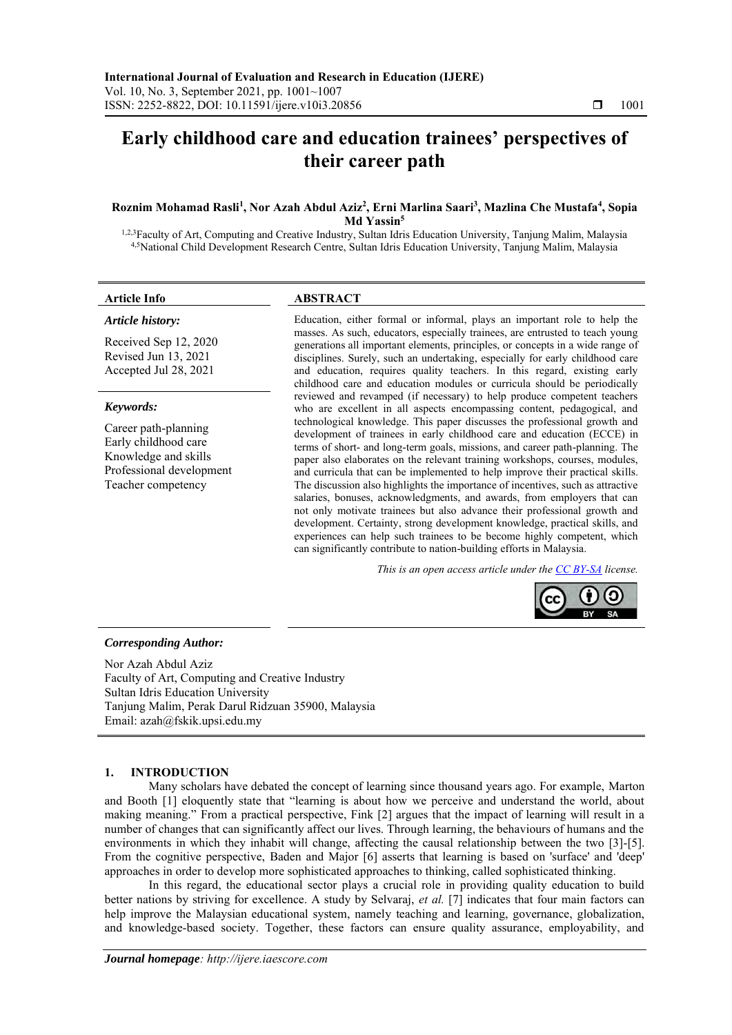# **Early childhood care and education trainees' perspectives of their career path**

#### **Roznim Mohamad Rasli<sup>1</sup> , Nor Azah Abdul Aziz<sup>2</sup> , Erni Marlina Saari<sup>3</sup> , Mazlina Che Mustafa<sup>4</sup> , Sopia Md Yassin<sup>5</sup>**

1,2,3Faculty of Art, Computing and Creative Industry, Sultan Idris Education University, Tanjung Malim, Malaysia 4,5National Child Development Research Centre, Sultan Idris Education University, Tanjung Malim, Malaysia

#### **Article Info ABSTRACT**

*Article history:*

Received Sep 12, 2020 Revised Jun 13, 2021 Accepted Jul 28, 2021

#### *Keywords:*

Career path-planning Early childhood care Knowledge and skills Professional development Teacher competency

Education, either formal or informal, plays an important role to help the masses. As such, educators, especially trainees, are entrusted to teach young generations all important elements, principles, or concepts in a wide range of disciplines. Surely, such an undertaking, especially for early childhood care and education, requires quality teachers. In this regard, existing early childhood care and education modules or curricula should be periodically reviewed and revamped (if necessary) to help produce competent teachers who are excellent in all aspects encompassing content, pedagogical, and technological knowledge. This paper discusses the professional growth and development of trainees in early childhood care and education (ECCE) in terms of short- and long-term goals, missions, and career path-planning. The paper also elaborates on the relevant training workshops, courses, modules, and curricula that can be implemented to help improve their practical skills. The discussion also highlights the importance of incentives, such as attractive salaries, bonuses, acknowledgments, and awards, from employers that can not only motivate trainees but also advance their professional growth and development. Certainty, strong development knowledge, practical skills, and experiences can help such trainees to be become highly competent, which can significantly contribute to nation-building efforts in Malaysia.

*This is an open access article under the [CC BY-SA](https://creativecommons.org/licenses/by-sa/4.0/) license.*



#### *Corresponding Author:*

Nor Azah Abdul Aziz Faculty of Art, Computing and Creative Industry Sultan Idris Education University Tanjung Malim, Perak Darul Ridzuan 35900, Malaysia Email: azah@fskik.upsi.edu.my

### **1. INTRODUCTION**

Many scholars have debated the concept of learning since thousand years ago. For example, Marton and Booth [1] eloquently state that "learning is about how we perceive and understand the world, about making meaning." From a practical perspective, Fink [2] argues that the impact of learning will result in a number of changes that can significantly affect our lives. Through learning, the behaviours of humans and the environments in which they inhabit will change, affecting the causal relationship between the two [3]-[5]. From the cognitive perspective, Baden and Major [6] asserts that learning is based on 'surface' and 'deep' approaches in order to develop more sophisticated approaches to thinking, called sophisticated thinking.

In this regard, the educational sector plays a crucial role in providing quality education to build better nations by striving for excellence. A study by Selvaraj, *et al.* [7] indicates that four main factors can help improve the Malaysian educational system, namely teaching and learning, governance, globalization, and knowledge-based society. Together, these factors can ensure quality assurance, employability, and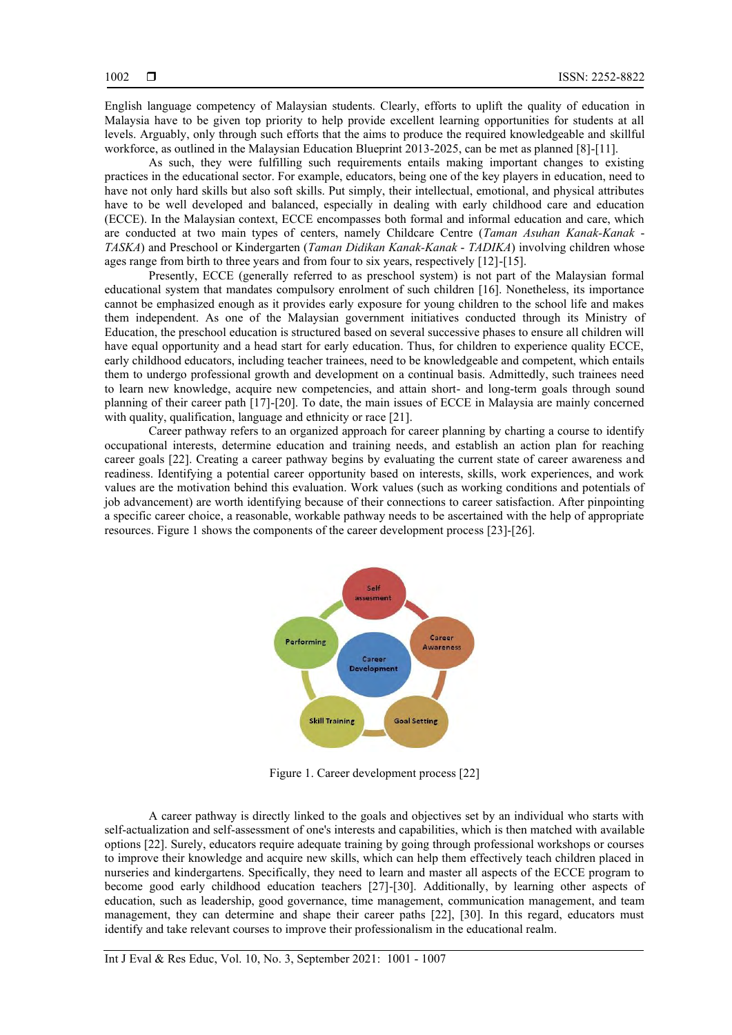English language competency of Malaysian students. Clearly, efforts to uplift the quality of education in Malaysia have to be given top priority to help provide excellent learning opportunities for students at all levels. Arguably, only through such efforts that the aims to produce the required knowledgeable and skillful workforce, as outlined in the Malaysian Education Blueprint 2013-2025, can be met as planned [8]-[11].

As such, they were fulfilling such requirements entails making important changes to existing practices in the educational sector. For example, educators, being one of the key players in education, need to have not only hard skills but also soft skills. Put simply, their intellectual, emotional, and physical attributes have to be well developed and balanced, especially in dealing with early childhood care and education (ECCE). In the Malaysian context, ECCE encompasses both formal and informal education and care, which are conducted at two main types of centers, namely Childcare Centre (*Taman Asuhan Kanak-Kanak* - *TASKA*) and Preschool or Kindergarten (*Taman Didikan Kanak-Kanak* - *TADIKA*) involving children whose ages range from birth to three years and from four to six years, respectively [12]-[15].

Presently, ECCE (generally referred to as preschool system) is not part of the Malaysian formal educational system that mandates compulsory enrolment of such children [16]. Nonetheless, its importance cannot be emphasized enough as it provides early exposure for young children to the school life and makes them independent. As one of the Malaysian government initiatives conducted through its Ministry of Education, the preschool education is structured based on several successive phases to ensure all children will have equal opportunity and a head start for early education. Thus, for children to experience quality ECCE, early childhood educators, including teacher trainees, need to be knowledgeable and competent, which entails them to undergo professional growth and development on a continual basis. Admittedly, such trainees need to learn new knowledge, acquire new competencies, and attain short- and long-term goals through sound planning of their career path [17]-[20]. To date, the main issues of ECCE in Malaysia are mainly concerned with quality, qualification, language and ethnicity or race [21].

Career pathway refers to an organized approach for career planning by charting a course to identify occupational interests, determine education and training needs, and establish an action plan for reaching career goals [22]. Creating a career pathway begins by evaluating the current state of career awareness and readiness. Identifying a potential career opportunity based on interests, skills, work experiences, and work values are the motivation behind this evaluation. Work values (such as working conditions and potentials of job advancement) are worth identifying because of their connections to career satisfaction. After pinpointing a specific career choice, a reasonable, workable pathway needs to be ascertained with the help of appropriate resources. Figure 1 shows the components of the career development process [23]-[26].



Figure 1. Career development process [22]

A career pathway is directly linked to the goals and objectives set by an individual who starts with self-actualization and self-assessment of one's interests and capabilities, which is then matched with available options [22]. Surely, educators require adequate training by going through professional workshops or courses to improve their knowledge and acquire new skills, which can help them effectively teach children placed in nurseries and kindergartens. Specifically, they need to learn and master all aspects of the ECCE program to become good early childhood education teachers [27]-[30]. Additionally, by learning other aspects of education, such as leadership, good governance, time management, communication management, and team management, they can determine and shape their career paths [22], [30]. In this regard, educators must identify and take relevant courses to improve their professionalism in the educational realm.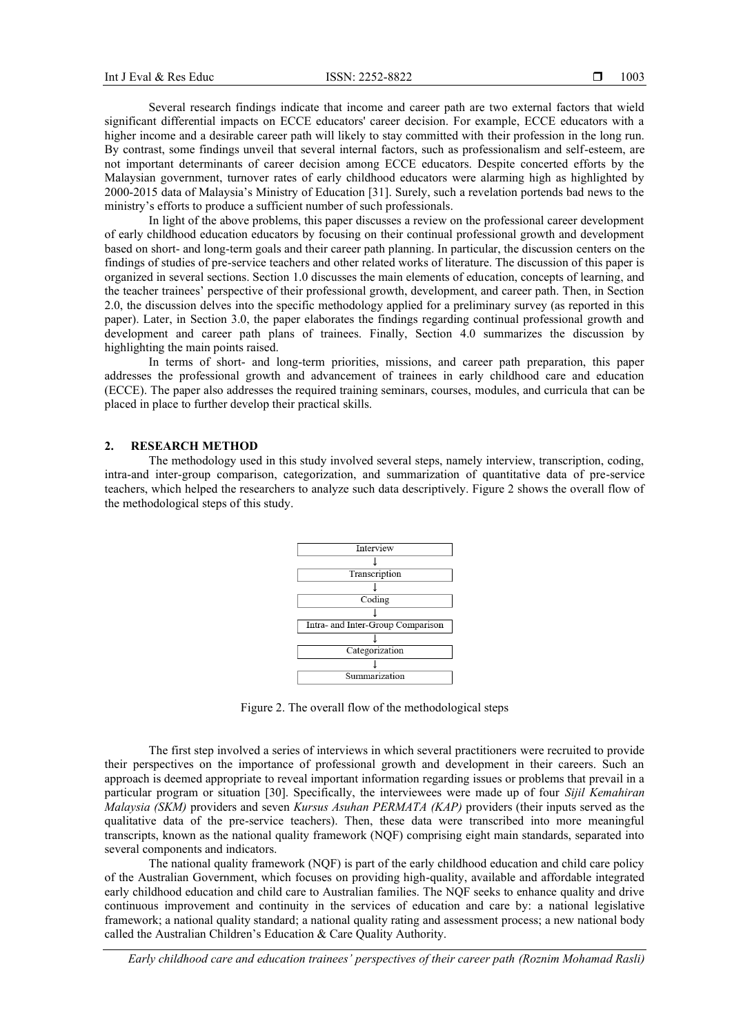Several research findings indicate that income and career path are two external factors that wield significant differential impacts on ECCE educators' career decision. For example, ECCE educators with a higher income and a desirable career path will likely to stay committed with their profession in the long run. By contrast, some findings unveil that several internal factors, such as professionalism and self-esteem, are not important determinants of career decision among ECCE educators. Despite concerted efforts by the Malaysian government, turnover rates of early childhood educators were alarming high as highlighted by 2000-2015 data of Malaysia's Ministry of Education [31]. Surely, such a revelation portends bad news to the ministry's efforts to produce a sufficient number of such professionals.

In light of the above problems, this paper discusses a review on the professional career development of early childhood education educators by focusing on their continual professional growth and development based on short- and long-term goals and their career path planning. In particular, the discussion centers on the findings of studies of pre-service teachers and other related works of literature. The discussion of this paper is organized in several sections. Section 1.0 discusses the main elements of education, concepts of learning, and the teacher trainees' perspective of their professional growth, development, and career path. Then, in Section 2.0, the discussion delves into the specific methodology applied for a preliminary survey (as reported in this paper). Later, in Section 3.0, the paper elaborates the findings regarding continual professional growth and development and career path plans of trainees. Finally, Section 4.0 summarizes the discussion by highlighting the main points raised.

In terms of short- and long-term priorities, missions, and career path preparation, this paper addresses the professional growth and advancement of trainees in early childhood care and education (ECCE). The paper also addresses the required training seminars, courses, modules, and curricula that can be placed in place to further develop their practical skills.

#### **2. RESEARCH METHOD**

The methodology used in this study involved several steps, namely interview, transcription, coding, intra-and inter-group comparison, categorization, and summarization of quantitative data of pre-service teachers, which helped the researchers to analyze such data descriptively. Figure 2 shows the overall flow of the methodological steps of this study.



Figure 2. The overall flow of the methodological steps

The first step involved a series of interviews in which several practitioners were recruited to provide their perspectives on the importance of professional growth and development in their careers. Such an approach is deemed appropriate to reveal important information regarding issues or problems that prevail in a particular program or situation [30]. Specifically, the interviewees were made up of four *Sijil Kemahiran Malaysia (SKM)* providers and seven *Kursus Asuhan PERMATA (KAP)* providers (their inputs served as the qualitative data of the pre-service teachers). Then, these data were transcribed into more meaningful transcripts, known as the national quality framework (NQF) comprising eight main standards, separated into several components and indicators.

The national quality framework (NQF) is part of the early childhood education and child care policy of the Australian Government, which focuses on providing high-quality, available and affordable integrated early childhood education and child care to Australian families. The NQF seeks to enhance quality and drive continuous improvement and continuity in the services of education and care by: a national legislative framework; a national quality standard; a national quality rating and assessment process; a new national body called the Australian Children's Education & Care Quality Authority.

*Early childhood care and education trainees' perspectives of their career path (Roznim Mohamad Rasli)*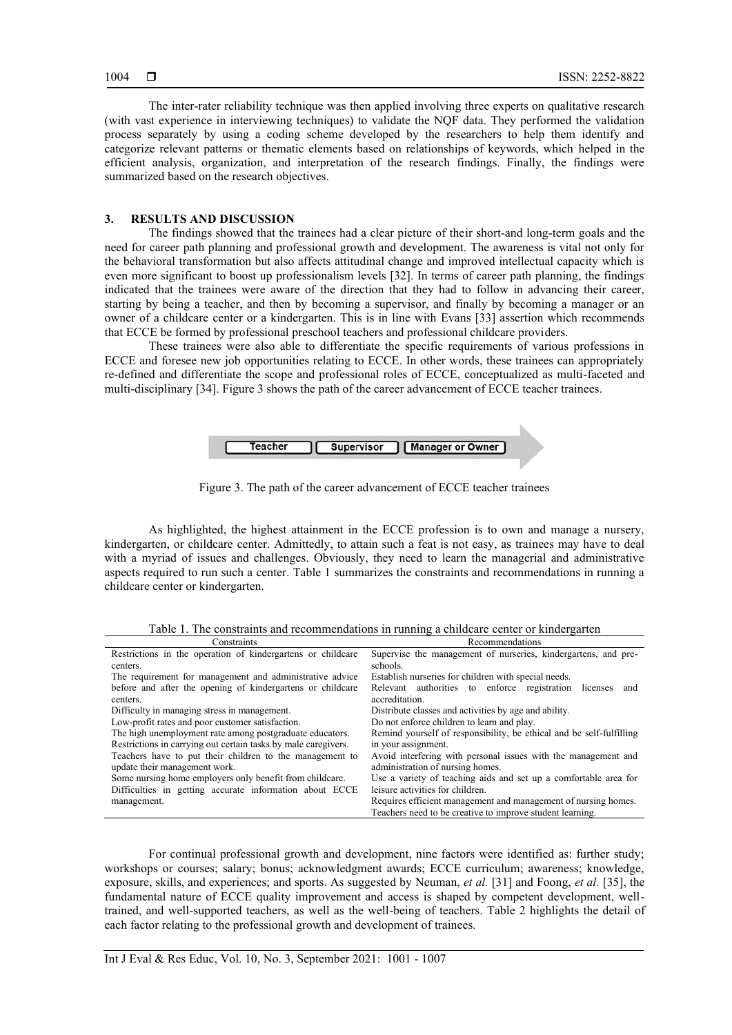The inter-rater reliability technique was then applied involving three experts on qualitative research (with vast experience in interviewing techniques) to validate the NQF data. They performed the validation process separately by using a coding scheme developed by the researchers to help them identify and categorize relevant patterns or thematic elements based on relationships of keywords, which helped in the efficient analysis, organization, and interpretation of the research findings. Finally, the findings were summarized based on the research objectives.

#### **3. RESULTS AND DISCUSSION**

The findings showed that the trainees had a clear picture of their short-and long-term goals and the need for career path planning and professional growth and development. The awareness is vital not only for the behavioral transformation but also affects attitudinal change and improved intellectual capacity which is even more significant to boost up professionalism levels [32]. In terms of career path planning, the findings indicated that the trainees were aware of the direction that they had to follow in advancing their career, starting by being a teacher, and then by becoming a supervisor, and finally by becoming a manager or an owner of a childcare center or a kindergarten. This is in line with Evans [33] assertion which recommends that ECCE be formed by professional preschool teachers and professional childcare providers.

These trainees were also able to differentiate the specific requirements of various professions in ECCE and foresee new job opportunities relating to ECCE. In other words, these trainees can appropriately re-defined and differentiate the scope and professional roles of ECCE, conceptualized as multi-faceted and multi-disciplinary [34]. Figure 3 shows the path of the career advancement of ECCE teacher trainees.



Figure 3. The path of the career advancement of ECCE teacher trainees

As highlighted, the highest attainment in the ECCE profession is to own and manage a nursery, kindergarten, or childcare center. Admittedly, to attain such a feat is not easy, as trainees may have to deal with a myriad of issues and challenges. Obviously, they need to learn the managerial and administrative aspects required to run such a center. Table 1 summarizes the constraints and recommendations in running a childcare center or kindergarten.

Table 1. The constraints and recommendations in running a childcare center or kindergarten

| Constraints                                                    | Recommendations                                                      |  |
|----------------------------------------------------------------|----------------------------------------------------------------------|--|
| Restrictions in the operation of kindergartens or childcare    | Supervise the management of nurseries, kindergartens, and pre-       |  |
| centers.                                                       | schools.                                                             |  |
| The requirement for management and administrative advice       | Establish nurseries for children with special needs.                 |  |
| before and after the opening of kindergartens or childcare     | Relevant authorities to enforce registration licenses<br>and         |  |
| centers.                                                       | accreditation.                                                       |  |
| Difficulty in managing stress in management.                   | Distribute classes and activities by age and ability.                |  |
| Low-profit rates and poor customer satisfaction.               | Do not enforce children to learn and play.                           |  |
| The high unemployment rate among postgraduate educators.       | Remind yourself of responsibility, be ethical and be self-fulfilling |  |
| Restrictions in carrying out certain tasks by male caregivers. | in your assignment.                                                  |  |
| Teachers have to put their children to the management to       | Avoid interfering with personal issues with the management and       |  |
| update their management work.                                  | administration of nursing homes.                                     |  |
| Some nursing home employers only benefit from childcare.       | Use a variety of teaching aids and set up a comfortable area for     |  |
| Difficulties in getting accurate information about ECCE        | leisure activities for children.                                     |  |
| management.                                                    | Requires efficient management and management of nursing homes.       |  |
|                                                                | Teachers need to be creative to improve student learning.            |  |

For continual professional growth and development, nine factors were identified as: further study; workshops or courses; salary; bonus; acknowledgment awards; ECCE curriculum; awareness; knowledge, exposure, skills, and experiences; and sports. As suggested by Neuman, *et al.* [31] and Foong, *et al.* [35], the fundamental nature of ECCE quality improvement and access is shaped by competent development, welltrained, and well-supported teachers, as well as the well-being of teachers. Table 2 highlights the detail of each factor relating to the professional growth and development of trainees.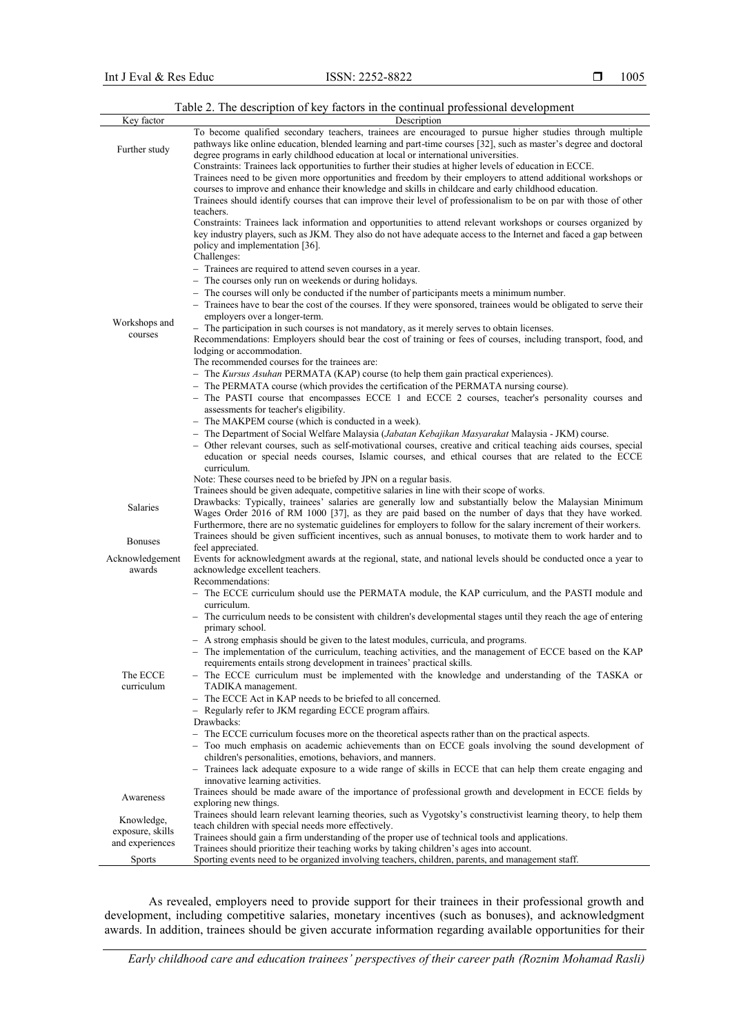|                                     | rable 2. The description of key factors in the continual professional development                                                                                                                                                                                                                                                                                                                                                                                    |
|-------------------------------------|----------------------------------------------------------------------------------------------------------------------------------------------------------------------------------------------------------------------------------------------------------------------------------------------------------------------------------------------------------------------------------------------------------------------------------------------------------------------|
| Key factor                          | Description                                                                                                                                                                                                                                                                                                                                                                                                                                                          |
| Further study                       | To become qualified secondary teachers, trainees are encouraged to pursue higher studies through multiple<br>pathways like online education, blended learning and part-time courses [32], such as master's degree and doctoral<br>degree programs in early childhood education at local or international universities.                                                                                                                                               |
|                                     | Constraints: Trainees lack opportunities to further their studies at higher levels of education in ECCE.<br>Trainees need to be given more opportunities and freedom by their employers to attend additional workshops or<br>courses to improve and enhance their knowledge and skills in childcare and early childhood education.<br>Trainees should identify courses that can improve their level of professionalism to be on par with those of other<br>teachers. |
| Workshops and<br>courses            | Constraints: Trainees lack information and opportunities to attend relevant workshops or courses organized by<br>key industry players, such as JKM. They also do not have adequate access to the Internet and faced a gap between<br>policy and implementation [36].<br>Challenges:<br>- Trainees are required to attend seven courses in a year.                                                                                                                    |
|                                     | - The courses only run on weekends or during holidays.<br>- The courses will only be conducted if the number of participants meets a minimum number.                                                                                                                                                                                                                                                                                                                 |
|                                     | - Trainees have to bear the cost of the courses. If they were sponsored, trainees would be obligated to serve their<br>employers over a longer-term.                                                                                                                                                                                                                                                                                                                 |
|                                     | - The participation in such courses is not mandatory, as it merely serves to obtain licenses.<br>Recommendations: Employers should bear the cost of training or fees of courses, including transport, food, and<br>lodging or accommodation.                                                                                                                                                                                                                         |
|                                     | The recommended courses for the trainees are:<br>- The Kursus Asuhan PERMATA (KAP) course (to help them gain practical experiences).                                                                                                                                                                                                                                                                                                                                 |
|                                     | - The PERMATA course (which provides the certification of the PERMATA nursing course).                                                                                                                                                                                                                                                                                                                                                                               |
|                                     | - The PASTI course that encompasses ECCE 1 and ECCE 2 courses, teacher's personality courses and                                                                                                                                                                                                                                                                                                                                                                     |
|                                     | assessments for teacher's eligibility.<br>- The MAKPEM course (which is conducted in a week).                                                                                                                                                                                                                                                                                                                                                                        |
|                                     | - The Department of Social Welfare Malaysia (Jabatan Kebajikan Masyarakat Malaysia - JKM) course.                                                                                                                                                                                                                                                                                                                                                                    |
|                                     | - Other relevant courses, such as self-motivational courses, creative and critical teaching aids courses, special<br>education or special needs courses, Islamic courses, and ethical courses that are related to the ECCE<br>curriculum.                                                                                                                                                                                                                            |
|                                     | Note: These courses need to be briefed by JPN on a regular basis.                                                                                                                                                                                                                                                                                                                                                                                                    |
| Salaries                            | Trainees should be given adequate, competitive salaries in line with their scope of works.<br>Drawbacks: Typically, trainees' salaries are generally low and substantially below the Malaysian Minimum<br>Wages Order 2016 of RM 1000 [37], as they are paid based on the number of days that they have worked.                                                                                                                                                      |
| <b>Bonuses</b>                      | Furthermore, there are no systematic guidelines for employers to follow for the salary increment of their workers.<br>Trainees should be given sufficient incentives, such as annual bonuses, to motivate them to work harder and to<br>feel appreciated.                                                                                                                                                                                                            |
| Acknowledgement<br>awards           | Events for acknowledgment awards at the regional, state, and national levels should be conducted once a year to<br>acknowledge excellent teachers.                                                                                                                                                                                                                                                                                                                   |
|                                     | Recommendations:<br>- The ECCE curriculum should use the PERMATA module, the KAP curriculum, and the PASTI module and<br>curriculum.                                                                                                                                                                                                                                                                                                                                 |
|                                     | - The curriculum needs to be consistent with children's developmental stages until they reach the age of entering<br>primary school.                                                                                                                                                                                                                                                                                                                                 |
|                                     | - A strong emphasis should be given to the latest modules, curricula, and programs.<br>- The implementation of the curriculum, teaching activities, and the management of ECCE based on the KAP<br>requirements entails strong development in trainees' practical skills.                                                                                                                                                                                            |
| The ECCE<br>curriculum              | - The ECCE curriculum must be implemented with the knowledge and understanding of the TASKA or<br>TADIKA management.                                                                                                                                                                                                                                                                                                                                                 |
|                                     | - The ECCE Act in KAP needs to be briefed to all concerned.<br>- Regularly refer to JKM regarding ECCE program affairs.                                                                                                                                                                                                                                                                                                                                              |
|                                     | Drawbacks:                                                                                                                                                                                                                                                                                                                                                                                                                                                           |
|                                     | - The ECCE curriculum focuses more on the theoretical aspects rather than on the practical aspects.<br>- Too much emphasis on academic achievements than on ECCE goals involving the sound development of<br>children's personalities, emotions, behaviors, and manners.                                                                                                                                                                                             |
|                                     | - Trainees lack adequate exposure to a wide range of skills in ECCE that can help them create engaging and<br>innovative learning activities.                                                                                                                                                                                                                                                                                                                        |
| Awareness                           | Trainees should be made aware of the importance of professional growth and development in ECCE fields by<br>exploring new things.                                                                                                                                                                                                                                                                                                                                    |
| Knowledge,                          | Trainees should learn relevant learning theories, such as Vygotsky's constructivist learning theory, to help them                                                                                                                                                                                                                                                                                                                                                    |
| exposure, skills<br>and experiences | teach children with special needs more effectively.<br>Trainees should gain a firm understanding of the proper use of technical tools and applications.<br>Trainees should prioritize their teaching works by taking children's ages into account.                                                                                                                                                                                                                   |
| <b>Sports</b>                       | Sporting events need to be organized involving teachers, children, parents, and management staff.                                                                                                                                                                                                                                                                                                                                                                    |

## Table 2. The description of key factors in the continual professional development

As revealed, employers need to provide support for their trainees in their professional growth and development, including competitive salaries, monetary incentives (such as bonuses), and acknowledgment awards. In addition, trainees should be given accurate information regarding available opportunities for their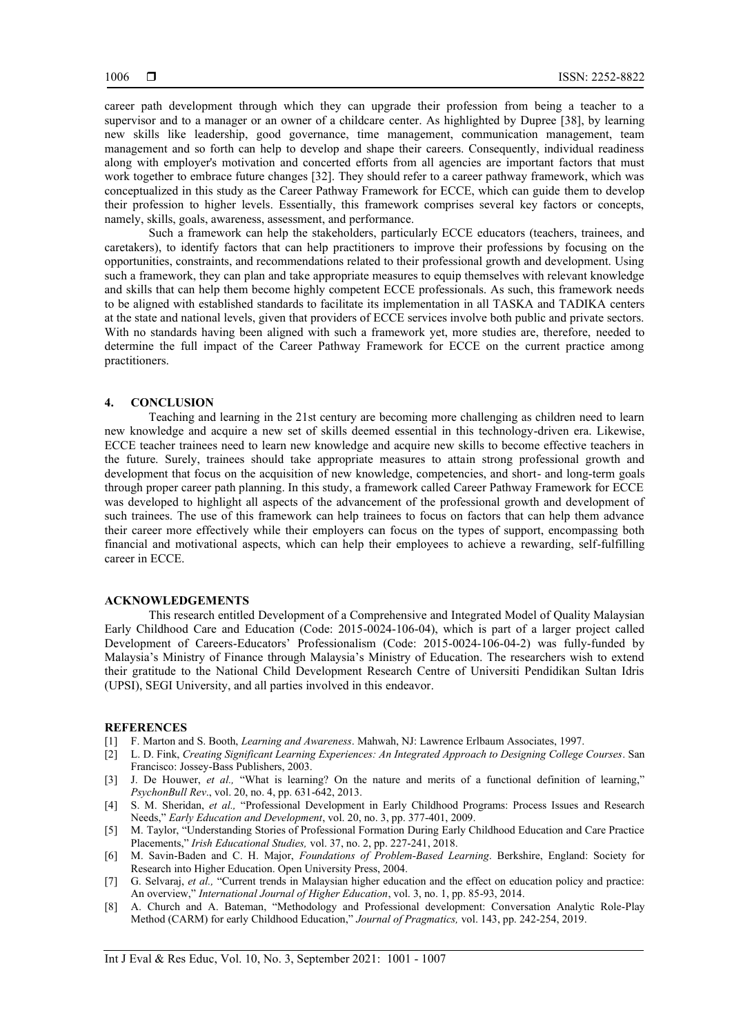career path development through which they can upgrade their profession from being a teacher to a supervisor and to a manager or an owner of a childcare center. As highlighted by Dupree [38], by learning new skills like leadership, good governance, time management, communication management, team management and so forth can help to develop and shape their careers. Consequently, individual readiness along with employer's motivation and concerted efforts from all agencies are important factors that must work together to embrace future changes [32]. They should refer to a career pathway framework, which was conceptualized in this study as the Career Pathway Framework for ECCE, which can guide them to develop their profession to higher levels. Essentially, this framework comprises several key factors or concepts, namely, skills, goals, awareness, assessment, and performance.

Such a framework can help the stakeholders, particularly ECCE educators (teachers, trainees, and caretakers), to identify factors that can help practitioners to improve their professions by focusing on the opportunities, constraints, and recommendations related to their professional growth and development. Using such a framework, they can plan and take appropriate measures to equip themselves with relevant knowledge and skills that can help them become highly competent ECCE professionals. As such, this framework needs to be aligned with established standards to facilitate its implementation in all TASKA and TADIKA centers at the state and national levels, given that providers of ECCE services involve both public and private sectors. With no standards having been aligned with such a framework yet, more studies are, therefore, needed to determine the full impact of the Career Pathway Framework for ECCE on the current practice among practitioners.

#### **4. CONCLUSION**

Teaching and learning in the 21st century are becoming more challenging as children need to learn new knowledge and acquire a new set of skills deemed essential in this technology-driven era. Likewise, ECCE teacher trainees need to learn new knowledge and acquire new skills to become effective teachers in the future. Surely, trainees should take appropriate measures to attain strong professional growth and development that focus on the acquisition of new knowledge, competencies, and short- and long-term goals through proper career path planning. In this study, a framework called Career Pathway Framework for ECCE was developed to highlight all aspects of the advancement of the professional growth and development of such trainees. The use of this framework can help trainees to focus on factors that can help them advance their career more effectively while their employers can focus on the types of support, encompassing both financial and motivational aspects, which can help their employees to achieve a rewarding, self-fulfilling career in ECCE.

#### **ACKNOWLEDGEMENTS**

This research entitled Development of a Comprehensive and Integrated Model of Quality Malaysian Early Childhood Care and Education (Code: 2015-0024-106-04), which is part of a larger project called Development of Careers-Educators' Professionalism (Code: 2015-0024-106-04-2) was fully-funded by Malaysia's Ministry of Finance through Malaysia's Ministry of Education. The researchers wish to extend their gratitude to the National Child Development Research Centre of Universiti Pendidikan Sultan Idris (UPSI), SEGI University, and all parties involved in this endeavor.

#### **REFERENCES**

- [1] F. Marton and S. Booth, *Learning and Awareness*. Mahwah, NJ: Lawrence Erlbaum Associates, 1997.
- [2] L. D. Fink, *Creating Significant Learning Experiences: An Integrated Approach to Designing College Courses*. San Francisco: Jossey-Bass Publishers, 2003.
- [3] J. De Houwer, *et al.,* "What is learning? On the nature and merits of a functional definition of learning," *PsychonBull Rev*., vol. 20, no. 4, pp. 631-642, 2013.
- [4] S. M. Sheridan, *et al.,* "Professional Development in Early Childhood Programs: Process Issues and Research Needs," *Early Education and Development*, vol. 20, no. 3, pp. 377-401, 2009.
- [5] M. Taylor, "Understanding Stories of Professional Formation During Early Childhood Education and Care Practice Placements," *Irish Educational Studies,* vol. 37, no. 2, pp. 227-241, 2018.
- [6] M. Savin-Baden and C. H. Major, *Foundations of Problem-Based Learning*. Berkshire, England: Society for Research into Higher Education. Open University Press, 2004.
- [7] G. Selvaraj, *et al.,* "Current trends in Malaysian higher education and the effect on education policy and practice: An overview," *International Journal of Higher Education*, vol. 3, no. 1, pp. 85-93, 2014.
- [8] A. Church and A. Bateman, "Methodology and Professional development: Conversation Analytic Role-Play Method (CARM) for early Childhood Education," *Journal of Pragmatics,* vol. 143, pp. 242-254, 2019.